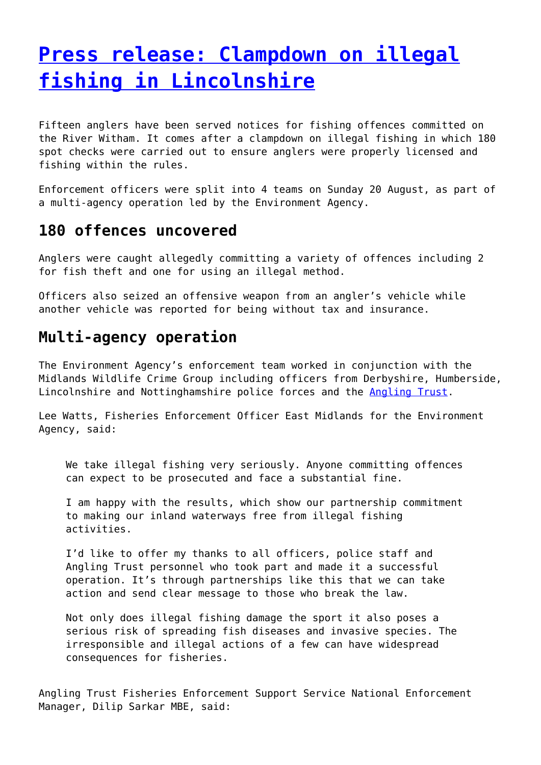# **[Press release: Clampdown on illegal](http://www.government-world.com/press-release-clampdown-on-illegal-fishing-in-lincolnshire/) [fishing in Lincolnshire](http://www.government-world.com/press-release-clampdown-on-illegal-fishing-in-lincolnshire/)**

Fifteen anglers have been served notices for fishing offences committed on the River Witham. It comes after a clampdown on illegal fishing in which 180 spot checks were carried out to ensure anglers were properly licensed and fishing within the rules.

Enforcement officers were split into 4 teams on Sunday 20 August, as part of a multi-agency operation led by the Environment Agency.

### **180 offences uncovered**

Anglers were caught allegedly committing a variety of offences including 2 for fish theft and one for using an illegal method.

Officers also seized an offensive weapon from an angler's vehicle while another vehicle was reported for being without tax and insurance.

## **Multi-agency operation**

The Environment Agency's enforcement team worked in conjunction with the Midlands Wildlife Crime Group including officers from Derbyshire, Humberside, Lincolnshire and Nottinghamshire police forces and the [Angling Trust.](http://www.anglingtrust.net/)

Lee Watts, Fisheries Enforcement Officer East Midlands for the Environment Agency, said:

We take illegal fishing very seriously. Anyone committing offences can expect to be prosecuted and face a substantial fine.

I am happy with the results, which show our partnership commitment to making our inland waterways free from illegal fishing activities.

I'd like to offer my thanks to all officers, police staff and Angling Trust personnel who took part and made it a successful operation. It's through partnerships like this that we can take action and send clear message to those who break the law.

Not only does illegal fishing damage the sport it also poses a serious risk of spreading fish diseases and invasive species. The irresponsible and illegal actions of a few can have widespread consequences for fisheries.

Angling Trust Fisheries Enforcement Support Service National Enforcement Manager, Dilip Sarkar MBE, said: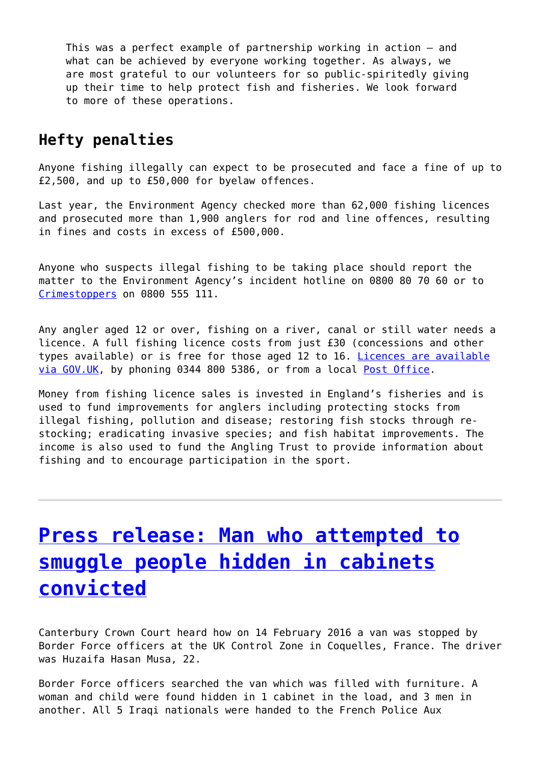This was a perfect example of partnership working in action – and what can be achieved by everyone working together. As always, we are most grateful to our volunteers for so public-spiritedly giving up their time to help protect fish and fisheries. We look forward to more of these operations.

### **Hefty penalties**

Anyone fishing illegally can expect to be prosecuted and face a fine of up to £2,500, and up to £50,000 for byelaw offences.

Last year, the Environment Agency checked more than 62,000 fishing licences and prosecuted more than 1,900 anglers for rod and line offences, resulting in fines and costs in excess of £500,000.

Anyone who suspects illegal fishing to be taking place should report the matter to the Environment Agency's incident hotline on 0800 80 70 60 or to [Crimestoppers](https://www.crimestoppers-uk.org/) on 0800 555 111.

Any angler aged 12 or over, fishing on a river, canal or still water needs a licence. A full fishing licence costs from just £30 (concessions and other types available) or is free for those aged 12 to 16. [Licences are available](https://www.gov.uk/get-a-fishing-licence) [via GOV.UK,](https://www.gov.uk/get-a-fishing-licence) by phoning 0344 800 5386, or from a local [Post Office.](http://www.postoffice.co.uk/branch-finder)

Money from fishing licence sales is invested in England's fisheries and is used to fund improvements for anglers including protecting stocks from illegal fishing, pollution and disease; restoring fish stocks through restocking; eradicating invasive species; and fish habitat improvements. The income is also used to fund the Angling Trust to provide information about fishing and to encourage participation in the sport.

# **[Press release: Man who attempted to](http://www.government-world.com/press-release-man-who-attempted-to-smuggle-people-hidden-in-cabinets-convicted/) [smuggle people hidden in cabinets](http://www.government-world.com/press-release-man-who-attempted-to-smuggle-people-hidden-in-cabinets-convicted/) [convicted](http://www.government-world.com/press-release-man-who-attempted-to-smuggle-people-hidden-in-cabinets-convicted/)**

Canterbury Crown Court heard how on 14 February 2016 a van was stopped by Border Force officers at the UK Control Zone in Coquelles, France. The driver was Huzaifa Hasan Musa, 22.

Border Force officers searched the van which was filled with furniture. A woman and child were found hidden in 1 cabinet in the load, and 3 men in another. All 5 Iraqi nationals were handed to the French Police Aux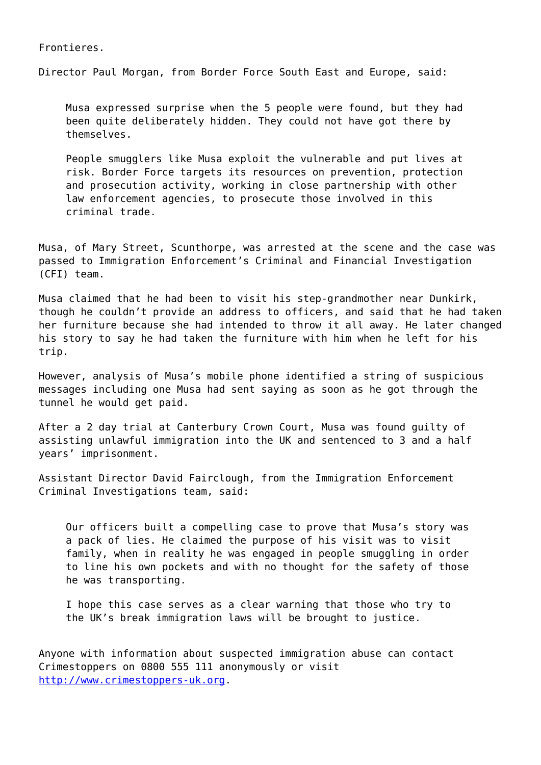Frontieres.

Director Paul Morgan, from Border Force South East and Europe, said:

Musa expressed surprise when the 5 people were found, but they had been quite deliberately hidden. They could not have got there by themselves.

People smugglers like Musa exploit the vulnerable and put lives at risk. Border Force targets its resources on prevention, protection and prosecution activity, working in close partnership with other law enforcement agencies, to prosecute those involved in this criminal trade.

Musa, of Mary Street, Scunthorpe, was arrested at the scene and the case was passed to Immigration Enforcement's Criminal and Financial Investigation (CFI) team.

Musa claimed that he had been to visit his step-grandmother near Dunkirk, though he couldn't provide an address to officers, and said that he had taken her furniture because she had intended to throw it all away. He later changed his story to say he had taken the furniture with him when he left for his trip.

However, analysis of Musa's mobile phone identified a string of suspicious messages including one Musa had sent saying as soon as he got through the tunnel he would get paid.

After a 2 day trial at Canterbury Crown Court, Musa was found guilty of assisting unlawful immigration into the UK and sentenced to 3 and a half years' imprisonment.

Assistant Director David Fairclough, from the Immigration Enforcement Criminal Investigations team, said:

Our officers built a compelling case to prove that Musa's story was a pack of lies. He claimed the purpose of his visit was to visit family, when in reality he was engaged in people smuggling in order to line his own pockets and with no thought for the safety of those he was transporting.

I hope this case serves as a clear warning that those who try to the UK's break immigration laws will be brought to justice.

Anyone with information about suspected immigration abuse can contact Crimestoppers on 0800 555 111 anonymously or visit [http://www.crimestoppers-uk.org.](http://www.crimestoppers-uk.org/)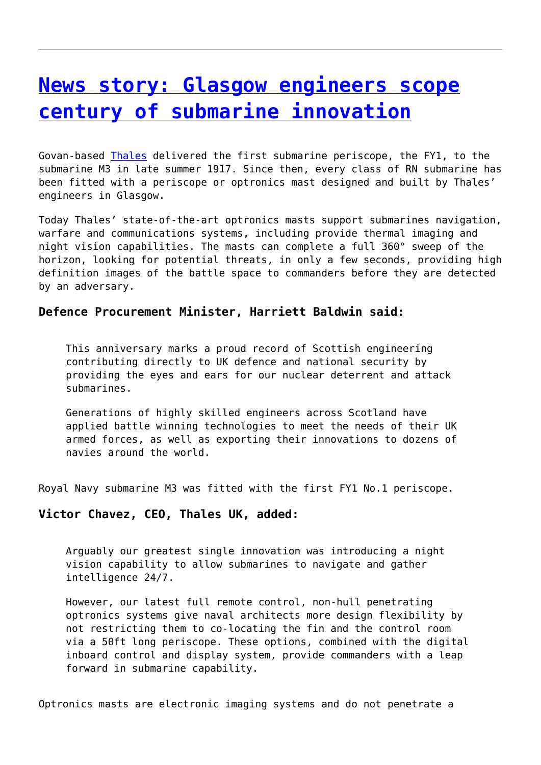## **[News story: Glasgow engineers scope](http://www.government-world.com/news-story-glasgow-engineers-scope-century-of-submarine-innovation-2/) [century of submarine innovation](http://www.government-world.com/news-story-glasgow-engineers-scope-century-of-submarine-innovation-2/)**

Govan-based [Thales](https://www.thalesgroup.com/en/countries/europe/united-kingdom/defence) delivered the first submarine periscope, the FY1, to the submarine M3 in late summer 1917. Since then, every class of RN submarine has been fitted with a periscope or optronics mast designed and built by Thales' engineers in Glasgow.

Today Thales' state-of-the-art optronics masts support submarines navigation, warfare and communications systems, including provide thermal imaging and night vision capabilities. The masts can complete a full 360° sweep of the horizon, looking for potential threats, in only a few seconds, providing high definition images of the battle space to commanders before they are detected by an adversary.

### **Defence Procurement Minister, Harriett Baldwin said:**

This anniversary marks a proud record of Scottish engineering contributing directly to UK defence and national security by providing the eyes and ears for our nuclear deterrent and attack submarines.

Generations of highly skilled engineers across Scotland have applied battle winning technologies to meet the needs of their UK armed forces, as well as exporting their innovations to dozens of navies around the world.

Royal Navy submarine M3 was fitted with the first FY1 No.1 periscope.

### **Victor Chavez, CEO, Thales UK, added:**

Arguably our greatest single innovation was introducing a night vision capability to allow submarines to navigate and gather intelligence 24/7.

However, our latest full remote control, non-hull penetrating optronics systems give naval architects more design flexibility by not restricting them to co-locating the fin and the control room via a 50ft long periscope. These options, combined with the digital inboard control and display system, provide commanders with a leap forward in submarine capability.

Optronics masts are electronic imaging systems and do not penetrate a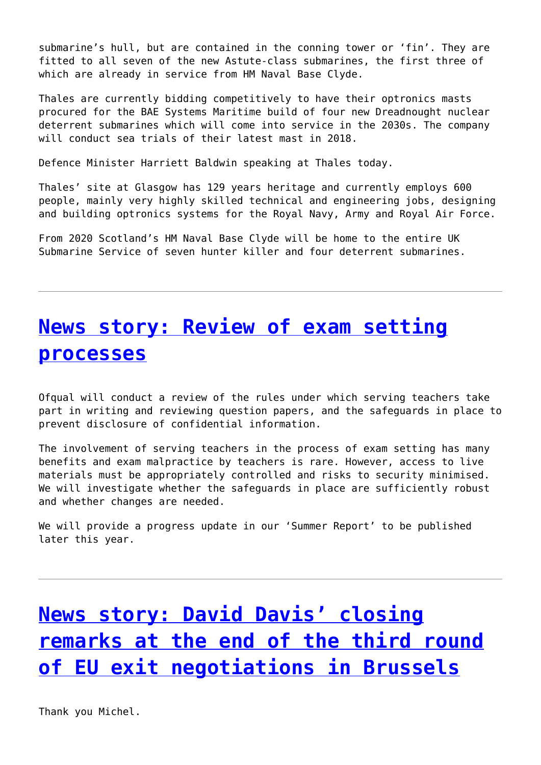submarine's hull, but are contained in the conning tower or 'fin'. They are fitted to all seven of the new Astute-class submarines, the first three of which are already in service from HM Naval Base Clyde.

Thales are currently bidding competitively to have their optronics masts procured for the BAE Systems Maritime build of four new Dreadnought nuclear deterrent submarines which will come into service in the 2030s. The company will conduct sea trials of their latest mast in 2018.

Defence Minister Harriett Baldwin speaking at Thales today.

Thales' site at Glasgow has 129 years heritage and currently employs 600 people, mainly very highly skilled technical and engineering jobs, designing and building optronics systems for the Royal Navy, Army and Royal Air Force.

From 2020 Scotland's HM Naval Base Clyde will be home to the entire UK Submarine Service of seven hunter killer and four deterrent submarines.

## **[News story: Review of exam setting](http://www.government-world.com/news-story-review-of-exam-setting-processes/) [processes](http://www.government-world.com/news-story-review-of-exam-setting-processes/)**

Ofqual will conduct a review of the rules under which serving teachers take part in writing and reviewing question papers, and the safeguards in place to prevent disclosure of confidential information.

The involvement of serving teachers in the process of exam setting has many benefits and exam malpractice by teachers is rare. However, access to live materials must be appropriately controlled and risks to security minimised. We will investigate whether the safeguards in place are sufficiently robust and whether changes are needed.

We will provide a progress update in our 'Summer Report' to be published later this year.

# **[News story: David Davis' closing](http://www.government-world.com/news-story-david-davis-closing-remarks-at-the-end-of-the-third-round-of-eu-exit-negotiations-in-brussels/) [remarks at the end of the third round](http://www.government-world.com/news-story-david-davis-closing-remarks-at-the-end-of-the-third-round-of-eu-exit-negotiations-in-brussels/) [of EU exit negotiations in Brussels](http://www.government-world.com/news-story-david-davis-closing-remarks-at-the-end-of-the-third-round-of-eu-exit-negotiations-in-brussels/)**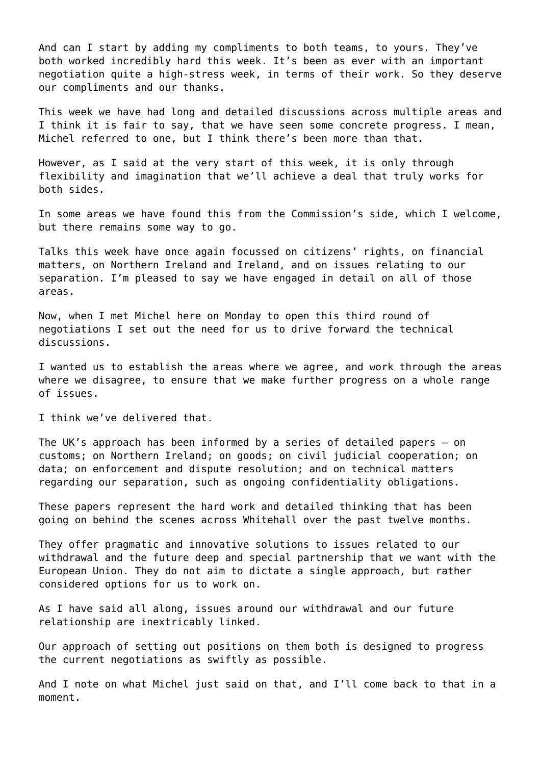And can I start by adding my compliments to both teams, to yours. They've both worked incredibly hard this week. It's been as ever with an important negotiation quite a high-stress week, in terms of their work. So they deserve our compliments and our thanks.

This week we have had long and detailed discussions across multiple areas and I think it is fair to say, that we have seen some concrete progress. I mean, Michel referred to one, but I think there's been more than that.

However, as I said at the very start of this week, it is only through flexibility and imagination that we'll achieve a deal that truly works for both sides.

In some areas we have found this from the Commission's side, which I welcome, but there remains some way to go.

Talks this week have once again focussed on citizens' rights, on financial matters, on Northern Ireland and Ireland, and on issues relating to our separation. I'm pleased to say we have engaged in detail on all of those areas.

Now, when I met Michel here on Monday to open this third round of negotiations I set out the need for us to drive forward the technical discussions.

I wanted us to establish the areas where we agree, and work through the areas where we disagree, to ensure that we make further progress on a whole range of issues.

I think we've delivered that.

The UK's approach has been informed by a series of detailed papers – on customs; on Northern Ireland; on goods; on civil judicial cooperation; on data; on enforcement and dispute resolution; and on technical matters regarding our separation, such as ongoing confidentiality obligations.

These papers represent the hard work and detailed thinking that has been going on behind the scenes across Whitehall over the past twelve months.

They offer pragmatic and innovative solutions to issues related to our withdrawal and the future deep and special partnership that we want with the European Union. They do not aim to dictate a single approach, but rather considered options for us to work on.

As I have said all along, issues around our withdrawal and our future relationship are inextricably linked.

Our approach of setting out positions on them both is designed to progress the current negotiations as swiftly as possible.

And I note on what Michel just said on that, and I'll come back to that in a moment.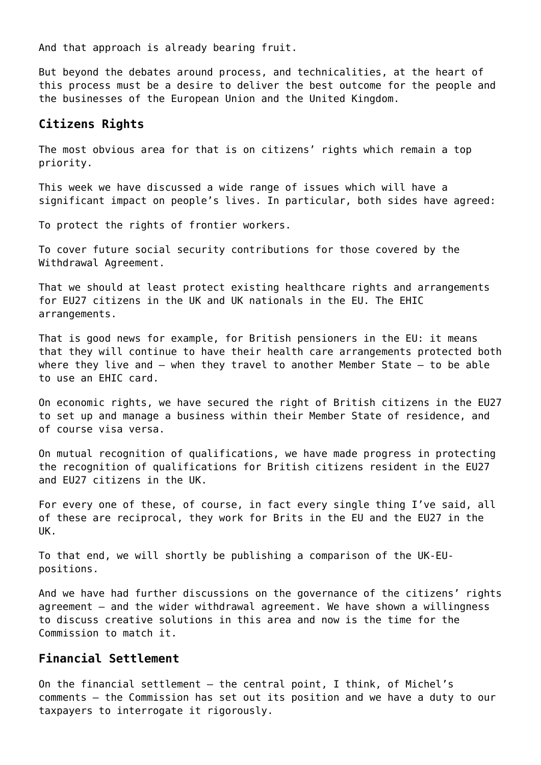And that approach is already bearing fruit.

But beyond the debates around process, and technicalities, at the heart of this process must be a desire to deliver the best outcome for the people and the businesses of the European Union and the United Kingdom.

### **Citizens Rights**

The most obvious area for that is on citizens' rights which remain a top priority.

This week we have discussed a wide range of issues which will have a significant impact on people's lives. In particular, both sides have agreed:

To protect the rights of frontier workers.

To cover future social security contributions for those covered by the Withdrawal Agreement.

That we should at least protect existing healthcare rights and arrangements for EU27 citizens in the UK and UK nationals in the EU. The EHIC arrangements.

That is good news for example, for British pensioners in the EU: it means that they will continue to have their health care arrangements protected both where they live and – when they travel to another Member State – to be able to use an EHIC card.

On economic rights, we have secured the right of British citizens in the EU27 to set up and manage a business within their Member State of residence, and of course visa versa.

On mutual recognition of qualifications, we have made progress in protecting the recognition of qualifications for British citizens resident in the EU27 and EU27 citizens in the UK.

For every one of these, of course, in fact every single thing I've said, all of these are reciprocal, they work for Brits in the EU and the EU27 in the UK.

To that end, we will shortly be publishing a comparison of the UK-EUpositions.

And we have had further discussions on the governance of the citizens' rights agreement – and the wider withdrawal agreement. We have shown a willingness to discuss creative solutions in this area and now is the time for the Commission to match it.

### **Financial Settlement**

On the financial settlement – the central point, I think, of Michel's comments – the Commission has set out its position and we have a duty to our taxpayers to interrogate it rigorously.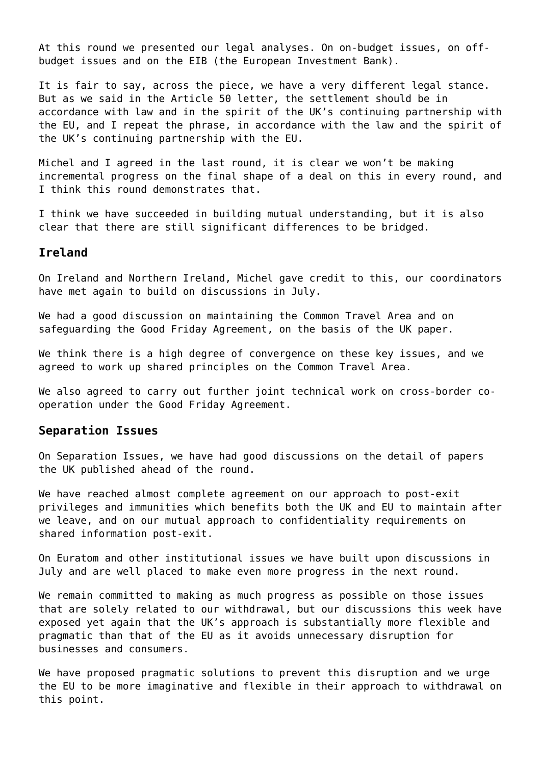At this round we presented our legal analyses. On on-budget issues, on offbudget issues and on the EIB (the European Investment Bank).

It is fair to say, across the piece, we have a very different legal stance. But as we said in the Article 50 letter, the settlement should be in accordance with law and in the spirit of the UK's continuing partnership with the EU, and I repeat the phrase, in accordance with the law and the spirit of the UK's continuing partnership with the EU.

Michel and I agreed in the last round, it is clear we won't be making incremental progress on the final shape of a deal on this in every round, and I think this round demonstrates that.

I think we have succeeded in building mutual understanding, but it is also clear that there are still significant differences to be bridged.

### **Ireland**

On Ireland and Northern Ireland, Michel gave credit to this, our coordinators have met again to build on discussions in July.

We had a good discussion on maintaining the Common Travel Area and on safeguarding the Good Friday Agreement, on the basis of the UK paper.

We think there is a high degree of convergence on these key issues, and we agreed to work up shared principles on the Common Travel Area.

We also agreed to carry out further joint technical work on cross-border cooperation under the Good Friday Agreement.

#### **Separation Issues**

On Separation Issues, we have had good discussions on the detail of papers the UK published ahead of the round.

We have reached almost complete agreement on our approach to post-exit privileges and immunities which benefits both the UK and EU to maintain after we leave, and on our mutual approach to confidentiality requirements on shared information post-exit.

On Euratom and other institutional issues we have built upon discussions in July and are well placed to make even more progress in the next round.

We remain committed to making as much progress as possible on those issues that are solely related to our withdrawal, but our discussions this week have exposed yet again that the UK's approach is substantially more flexible and pragmatic than that of the EU as it avoids unnecessary disruption for businesses and consumers.

We have proposed pragmatic solutions to prevent this disruption and we urge the EU to be more imaginative and flexible in their approach to withdrawal on this point.